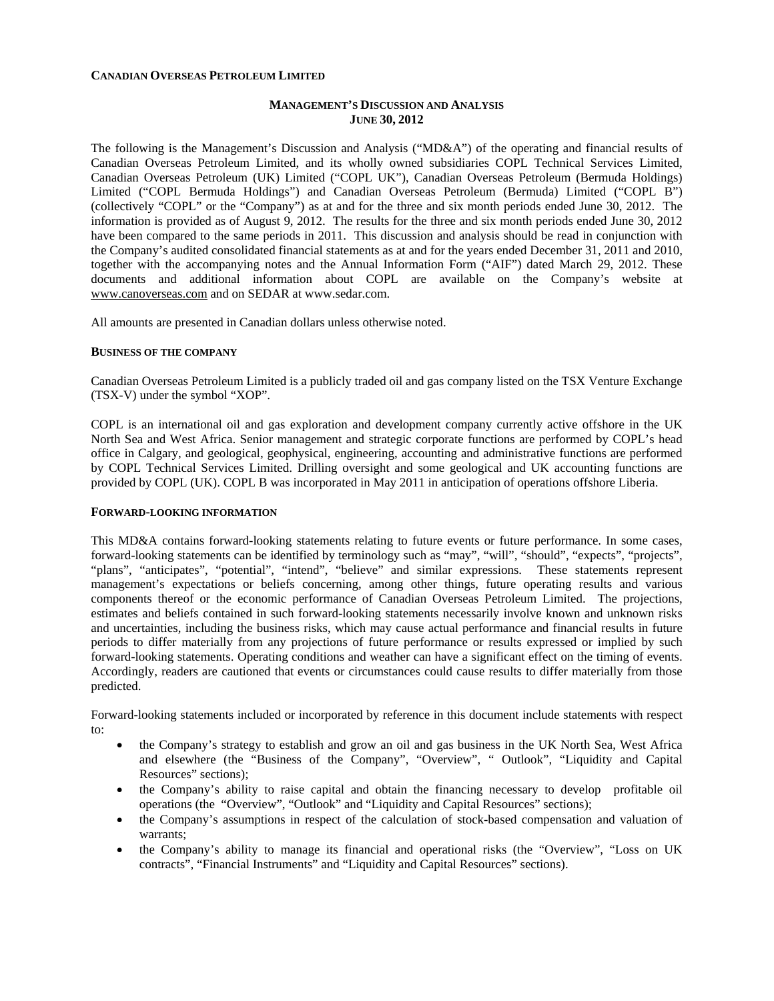### **CANADIAN OVERSEAS PETROLEUM LIMITED**

# **MANAGEMENT'S DISCUSSION AND ANALYSIS JUNE 30, 2012**

The following is the Management's Discussion and Analysis ("MD&A") of the operating and financial results of Canadian Overseas Petroleum Limited, and its wholly owned subsidiaries COPL Technical Services Limited, Canadian Overseas Petroleum (UK) Limited ("COPL UK"), Canadian Overseas Petroleum (Bermuda Holdings) Limited ("COPL Bermuda Holdings") and Canadian Overseas Petroleum (Bermuda) Limited ("COPL B") (collectively "COPL" or the "Company") as at and for the three and six month periods ended June 30, 2012. The information is provided as of August 9, 2012. The results for the three and six month periods ended June 30, 2012 have been compared to the same periods in 2011. This discussion and analysis should be read in conjunction with the Company's audited consolidated financial statements as at and for the years ended December 31, 2011 and 2010, together with the accompanying notes and the Annual Information Form ("AIF") dated March 29, 2012. These documents and additional information about COPL are available on the Company's website at www.canoverseas.com and on SEDAR at www.sedar.com.

All amounts are presented in Canadian dollars unless otherwise noted.

#### **BUSINESS OF THE COMPANY**

Canadian Overseas Petroleum Limited is a publicly traded oil and gas company listed on the TSX Venture Exchange (TSX-V) under the symbol "XOP".

COPL is an international oil and gas exploration and development company currently active offshore in the UK North Sea and West Africa. Senior management and strategic corporate functions are performed by COPL's head office in Calgary, and geological, geophysical, engineering, accounting and administrative functions are performed by COPL Technical Services Limited. Drilling oversight and some geological and UK accounting functions are provided by COPL (UK). COPL B was incorporated in May 2011 in anticipation of operations offshore Liberia.

#### **FORWARD-LOOKING INFORMATION**

This MD&A contains forward-looking statements relating to future events or future performance. In some cases, forward-looking statements can be identified by terminology such as "may", "will", "should", "expects", "projects", "plans", "anticipates", "potential", "intend", "believe" and similar expressions. These statements represent management's expectations or beliefs concerning, among other things, future operating results and various components thereof or the economic performance of Canadian Overseas Petroleum Limited. The projections, estimates and beliefs contained in such forward-looking statements necessarily involve known and unknown risks and uncertainties, including the business risks, which may cause actual performance and financial results in future periods to differ materially from any projections of future performance or results expressed or implied by such forward-looking statements. Operating conditions and weather can have a significant effect on the timing of events. Accordingly, readers are cautioned that events or circumstances could cause results to differ materially from those predicted.

Forward-looking statements included or incorporated by reference in this document include statements with respect to:

- the Company's strategy to establish and grow an oil and gas business in the UK North Sea, West Africa and elsewhere (the "Business of the Company", "Overview", " Outlook", "Liquidity and Capital Resources" sections);
- the Company's ability to raise capital and obtain the financing necessary to develop profitable oil operations (the "Overview", "Outlook" and "Liquidity and Capital Resources" sections);
- the Company's assumptions in respect of the calculation of stock-based compensation and valuation of warrants;
- the Company's ability to manage its financial and operational risks (the "Overview", "Loss on UK contracts", "Financial Instruments" and "Liquidity and Capital Resources" sections).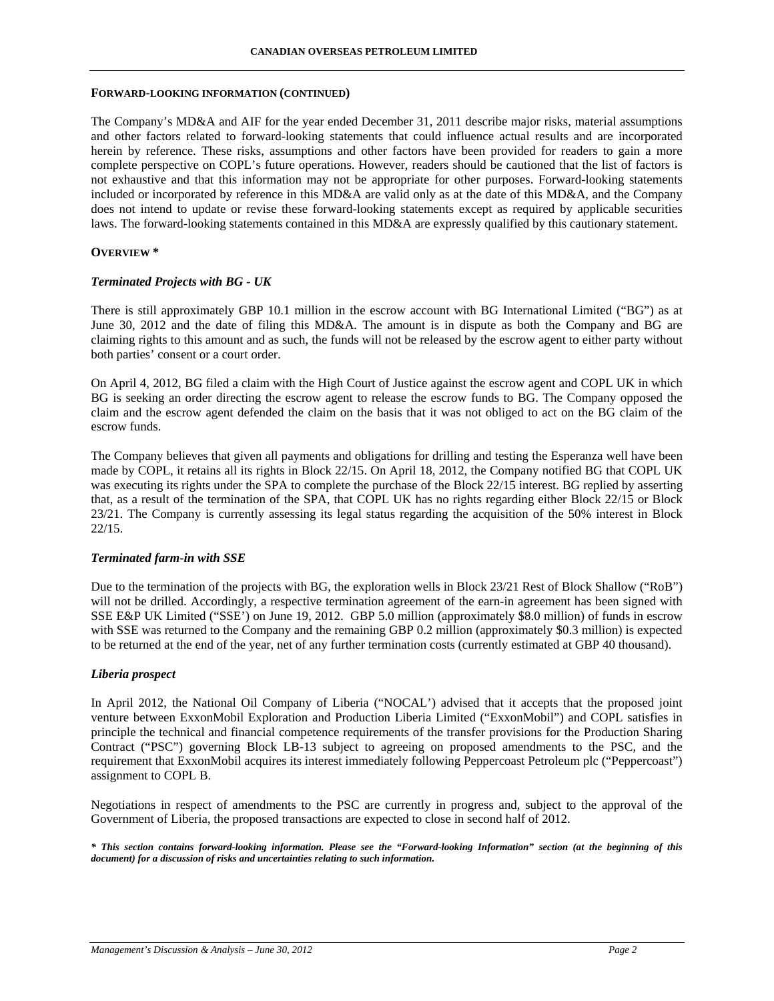#### **FORWARD-LOOKING INFORMATION (CONTINUED)**

The Company's MD&A and AIF for the year ended December 31, 2011 describe major risks, material assumptions and other factors related to forward-looking statements that could influence actual results and are incorporated herein by reference. These risks, assumptions and other factors have been provided for readers to gain a more complete perspective on COPL's future operations. However, readers should be cautioned that the list of factors is not exhaustive and that this information may not be appropriate for other purposes. Forward-looking statements included or incorporated by reference in this MD&A are valid only as at the date of this MD&A, and the Company does not intend to update or revise these forward-looking statements except as required by applicable securities laws. The forward-looking statements contained in this MD&A are expressly qualified by this cautionary statement.

#### **OVERVIEW \***

#### *Terminated Projects with BG - UK*

There is still approximately GBP 10.1 million in the escrow account with BG International Limited ("BG") as at June 30, 2012 and the date of filing this MD&A. The amount is in dispute as both the Company and BG are claiming rights to this amount and as such, the funds will not be released by the escrow agent to either party without both parties' consent or a court order.

On April 4, 2012, BG filed a claim with the High Court of Justice against the escrow agent and COPL UK in which BG is seeking an order directing the escrow agent to release the escrow funds to BG. The Company opposed the claim and the escrow agent defended the claim on the basis that it was not obliged to act on the BG claim of the escrow funds.

The Company believes that given all payments and obligations for drilling and testing the Esperanza well have been made by COPL, it retains all its rights in Block 22/15. On April 18, 2012, the Company notified BG that COPL UK was executing its rights under the SPA to complete the purchase of the Block 22/15 interest. BG replied by asserting that, as a result of the termination of the SPA, that COPL UK has no rights regarding either Block 22/15 or Block 23/21. The Company is currently assessing its legal status regarding the acquisition of the 50% interest in Block 22/15.

#### *Terminated farm-in with SSE*

Due to the termination of the projects with BG, the exploration wells in Block 23/21 Rest of Block Shallow ("RoB") will not be drilled. Accordingly, a respective termination agreement of the earn-in agreement has been signed with SSE E&P UK Limited ("SSE') on June 19, 2012. GBP 5.0 million (approximately \$8.0 million) of funds in escrow with SSE was returned to the Company and the remaining GBP 0.2 million (approximately \$0.3 million) is expected to be returned at the end of the year, net of any further termination costs (currently estimated at GBP 40 thousand).

### *Liberia prospect*

In April 2012, the National Oil Company of Liberia ("NOCAL') advised that it accepts that the proposed joint venture between ExxonMobil Exploration and Production Liberia Limited ("ExxonMobil") and COPL satisfies in principle the technical and financial competence requirements of the transfer provisions for the Production Sharing Contract ("PSC") governing Block LB-13 subject to agreeing on proposed amendments to the PSC, and the requirement that ExxonMobil acquires its interest immediately following Peppercoast Petroleum plc ("Peppercoast") assignment to COPL B.

Negotiations in respect of amendments to the PSC are currently in progress and, subject to the approval of the Government of Liberia, the proposed transactions are expected to close in second half of 2012.

*\* This section contains forward-looking information. Please see the "Forward-looking Information" section (at the beginning of this document) for a discussion of risks and uncertainties relating to such information.*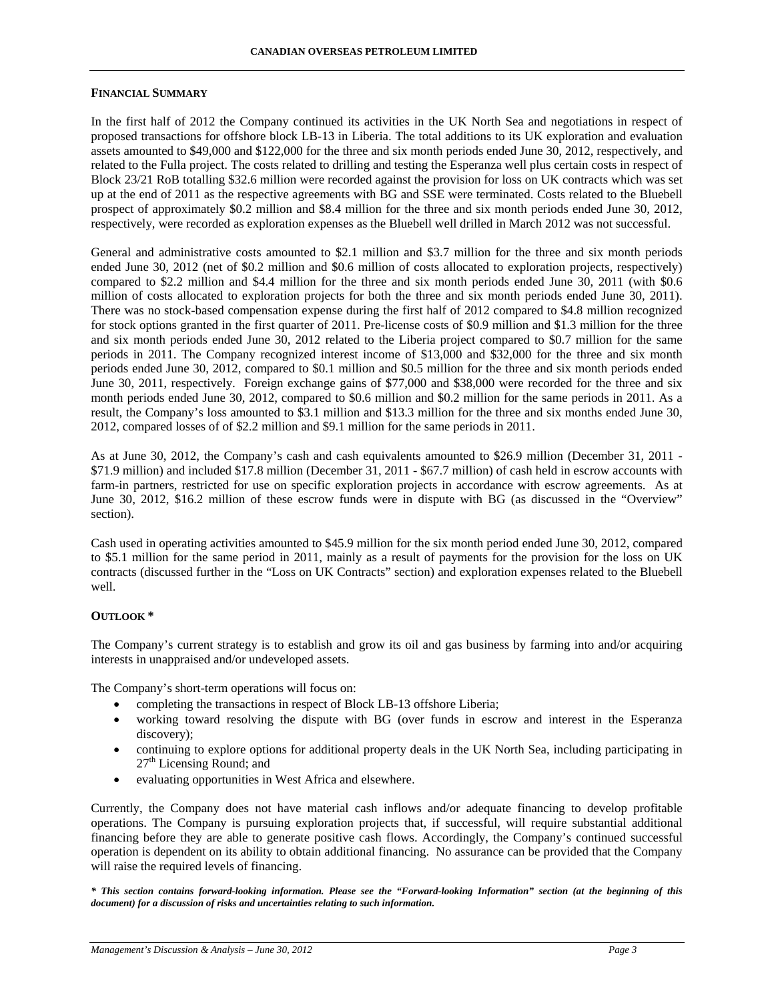#### **FINANCIAL SUMMARY**

In the first half of 2012 the Company continued its activities in the UK North Sea and negotiations in respect of proposed transactions for offshore block LB-13 in Liberia. The total additions to its UK exploration and evaluation assets amounted to \$49,000 and \$122,000 for the three and six month periods ended June 30, 2012, respectively, and related to the Fulla project. The costs related to drilling and testing the Esperanza well plus certain costs in respect of Block 23/21 RoB totalling \$32.6 million were recorded against the provision for loss on UK contracts which was set up at the end of 2011 as the respective agreements with BG and SSE were terminated. Costs related to the Bluebell prospect of approximately \$0.2 million and \$8.4 million for the three and six month periods ended June 30, 2012, respectively, were recorded as exploration expenses as the Bluebell well drilled in March 2012 was not successful.

General and administrative costs amounted to \$2.1 million and \$3.7 million for the three and six month periods ended June 30, 2012 (net of \$0.2 million and \$0.6 million of costs allocated to exploration projects, respectively) compared to \$2.2 million and \$4.4 million for the three and six month periods ended June 30, 2011 (with \$0.6 million of costs allocated to exploration projects for both the three and six month periods ended June 30, 2011). There was no stock-based compensation expense during the first half of 2012 compared to \$4.8 million recognized for stock options granted in the first quarter of 2011. Pre-license costs of \$0.9 million and \$1.3 million for the three and six month periods ended June 30, 2012 related to the Liberia project compared to \$0.7 million for the same periods in 2011. The Company recognized interest income of \$13,000 and \$32,000 for the three and six month periods ended June 30, 2012, compared to \$0.1 million and \$0.5 million for the three and six month periods ended June 30, 2011, respectively. Foreign exchange gains of \$77,000 and \$38,000 were recorded for the three and six month periods ended June 30, 2012, compared to \$0.6 million and \$0.2 million for the same periods in 2011. As a result, the Company's loss amounted to \$3.1 million and \$13.3 million for the three and six months ended June 30, 2012, compared losses of of \$2.2 million and \$9.1 million for the same periods in 2011.

As at June 30, 2012, the Company's cash and cash equivalents amounted to \$26.9 million (December 31, 2011 - \$71.9 million) and included \$17.8 million (December 31, 2011 - \$67.7 million) of cash held in escrow accounts with farm-in partners, restricted for use on specific exploration projects in accordance with escrow agreements. As at June 30, 2012, \$16.2 million of these escrow funds were in dispute with BG (as discussed in the "Overview" section).

Cash used in operating activities amounted to \$45.9 million for the six month period ended June 30, 2012, compared to \$5.1 million for the same period in 2011, mainly as a result of payments for the provision for the loss on UK contracts (discussed further in the "Loss on UK Contracts" section) and exploration expenses related to the Bluebell well.

### **OUTLOOK \***

The Company's current strategy is to establish and grow its oil and gas business by farming into and/or acquiring interests in unappraised and/or undeveloped assets.

The Company's short-term operations will focus on:

- completing the transactions in respect of Block LB-13 offshore Liberia;
- working toward resolving the dispute with BG (over funds in escrow and interest in the Esperanza discovery);
- continuing to explore options for additional property deals in the UK North Sea, including participating in  $27<sup>th</sup>$  Licensing Round; and
- evaluating opportunities in West Africa and elsewhere.

Currently, the Company does not have material cash inflows and/or adequate financing to develop profitable operations. The Company is pursuing exploration projects that, if successful, will require substantial additional financing before they are able to generate positive cash flows. Accordingly, the Company's continued successful operation is dependent on its ability to obtain additional financing. No assurance can be provided that the Company will raise the required levels of financing.

*\* This section contains forward-looking information. Please see the "Forward-looking Information" section (at the beginning of this document) for a discussion of risks and uncertainties relating to such information.*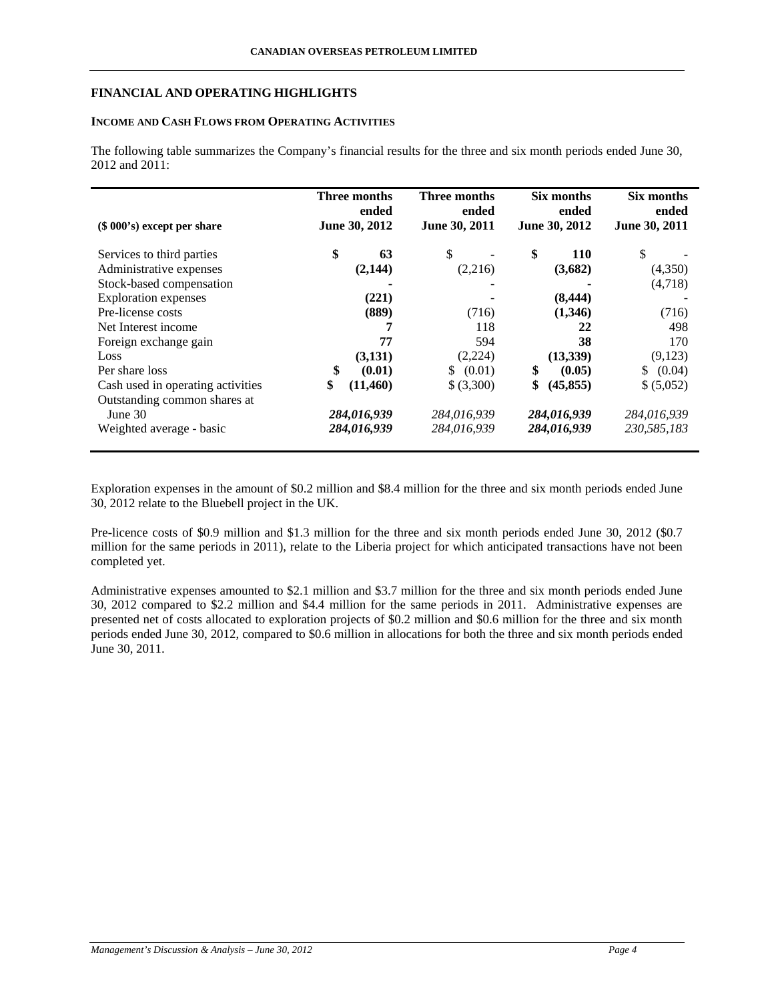# **FINANCIAL AND OPERATING HIGHLIGHTS**

# **INCOME AND CASH FLOWS FROM OPERATING ACTIVITIES**

The following table summarizes the Company's financial results for the three and six month periods ended June 30, 2012 and 2011:

| $(\$ 000's)$ except per share     | Three months<br>ended<br>June 30, 2012 | Three months<br>ended<br>June 30, 2011 | Six months<br>ended<br>June 30, 2012 | Six months<br>ended<br>June 30, 2011 |
|-----------------------------------|----------------------------------------|----------------------------------------|--------------------------------------|--------------------------------------|
| Services to third parties         | \$<br>63                               | \$                                     | \$<br><b>110</b>                     | \$                                   |
| Administrative expenses           | (2,144)                                | (2,216)                                | (3,682)                              | (4,350)                              |
| Stock-based compensation          |                                        |                                        |                                      | (4,718)                              |
| <b>Exploration</b> expenses       | (221)                                  |                                        | (8, 444)                             |                                      |
| Pre-license costs                 | (889)                                  | (716)                                  | (1,346)                              | (716)                                |
| Net Interest income               | 7                                      | 118                                    | 22                                   | 498                                  |
| Foreign exchange gain             | 77                                     | 594                                    | 38                                   | 170                                  |
| Loss                              | (3,131)                                | (2,224)                                | (13,339)                             | (9,123)                              |
| Per share loss                    | \$<br>(0.01)                           | (0.01)<br>\$                           | \$<br>(0.05)                         | (0.04)<br>S.                         |
| Cash used in operating activities | \$<br>(11,460)                         | \$(3,300)                              | \$<br>(45, 855)                      | \$ (5,052)                           |
| Outstanding common shares at      |                                        |                                        |                                      |                                      |
| June $30$                         | 284,016,939                            | 284,016,939                            | 284,016,939                          | 284,016,939                          |
| Weighted average - basic          | 284,016,939                            | 284,016,939                            | 284,016,939                          | 230,585,183                          |

Exploration expenses in the amount of \$0.2 million and \$8.4 million for the three and six month periods ended June 30, 2012 relate to the Bluebell project in the UK.

Pre-licence costs of \$0.9 million and \$1.3 million for the three and six month periods ended June 30, 2012 (\$0.7) million for the same periods in 2011), relate to the Liberia project for which anticipated transactions have not been completed yet.

Administrative expenses amounted to \$2.1 million and \$3.7 million for the three and six month periods ended June 30, 2012 compared to \$2.2 million and \$4.4 million for the same periods in 2011. Administrative expenses are presented net of costs allocated to exploration projects of \$0.2 million and \$0.6 million for the three and six month periods ended June 30, 2012, compared to \$0.6 million in allocations for both the three and six month periods ended June 30, 2011.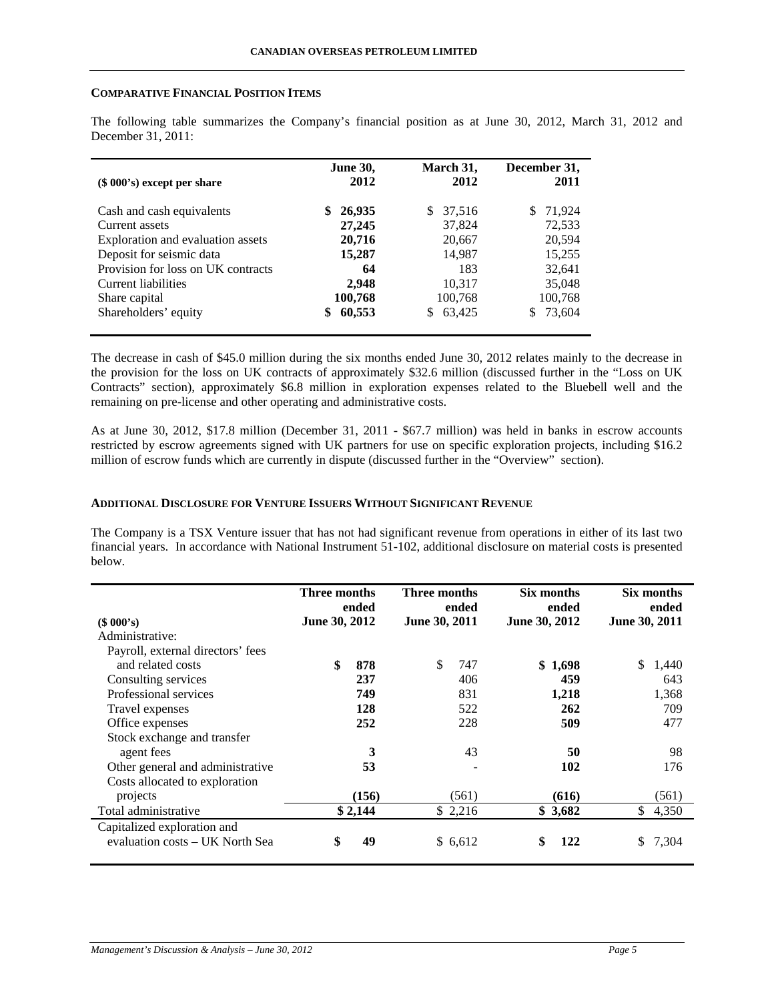## **COMPARATIVE FINANCIAL POSITION ITEMS**

The following table summarizes the Company's financial position as at June 30, 2012, March 31, 2012 and December 31, 2011:

| $(\$ 000's)$ except per share      | <b>June 30,</b><br>2012 | March 31,<br>2012 | December 31,<br>2011 |
|------------------------------------|-------------------------|-------------------|----------------------|
| Cash and cash equivalents          | 26,935<br>S             | 37,516<br>S.      | 71,924               |
| Current assets                     | 27,245                  | 37,824            | 72,533               |
| Exploration and evaluation assets  | 20,716                  | 20,667            | 20,594               |
| Deposit for seismic data           | 15,287                  | 14,987            | 15,255               |
| Provision for loss on UK contracts | 64                      | 183               | 32,641               |
| Current liabilities                | 2,948                   | 10,317            | 35,048               |
| Share capital                      | 100,768                 | 100,768           | 100,768              |
| Shareholders' equity               | 60,553<br>\$            | 63,425            | 73,604               |

The decrease in cash of \$45.0 million during the six months ended June 30, 2012 relates mainly to the decrease in the provision for the loss on UK contracts of approximately \$32.6 million (discussed further in the "Loss on UK Contracts" section), approximately \$6.8 million in exploration expenses related to the Bluebell well and the remaining on pre-license and other operating and administrative costs.

As at June 30, 2012, \$17.8 million (December 31, 2011 - \$67.7 million) was held in banks in escrow accounts restricted by escrow agreements signed with UK partners for use on specific exploration projects, including \$16.2 million of escrow funds which are currently in dispute (discussed further in the "Overview" section).

# **ADDITIONAL DISCLOSURE FOR VENTURE ISSUERS WITHOUT SIGNIFICANT REVENUE**

The Company is a TSX Venture issuer that has not had significant revenue from operations in either of its last two financial years. In accordance with National Instrument 51-102, additional disclosure on material costs is presented below.

|                                   | Three months<br>ended |         | <b>Three months</b><br>ended |       | Six months<br>ended |         | Six months<br>ended |       |
|-----------------------------------|-----------------------|---------|------------------------------|-------|---------------------|---------|---------------------|-------|
| (\$000's)                         | June 30, 2012         |         | June 30, 2011                |       | June 30, 2012       |         | June 30, 2011       |       |
| Administrative:                   |                       |         |                              |       |                     |         |                     |       |
| Payroll, external directors' fees |                       |         |                              |       |                     |         |                     |       |
| and related costs                 | \$                    | 878     | \$                           | 747   |                     | \$1,698 | \$                  | 1,440 |
| Consulting services               |                       | 237     |                              | 406   |                     | 459     |                     | 643   |
| Professional services             |                       | 749     |                              | 831   |                     | 1,218   |                     | 1,368 |
| Travel expenses                   |                       | 128     |                              | 522   |                     | 262     |                     | 709   |
| Office expenses                   |                       | 252     |                              | 228   |                     | 509     |                     | 477   |
| Stock exchange and transfer       |                       |         |                              |       |                     |         |                     |       |
| agent fees                        |                       | 3       |                              | 43    |                     | 50      |                     | 98    |
| Other general and administrative  |                       | 53      |                              |       |                     | 102     |                     | 176   |
| Costs allocated to exploration    |                       |         |                              |       |                     |         |                     |       |
| projects                          |                       | (156)   |                              | (561) |                     | (616)   |                     | (561) |
| Total administrative              |                       | \$2,144 | \$2,216                      |       |                     | \$3,682 | \$                  | 4,350 |
| Capitalized exploration and       |                       |         |                              |       |                     |         |                     |       |
| evaluation costs – UK North Sea   | \$                    | 49      | \$ 6,612                     |       | \$                  | 122     | S.                  | 7,304 |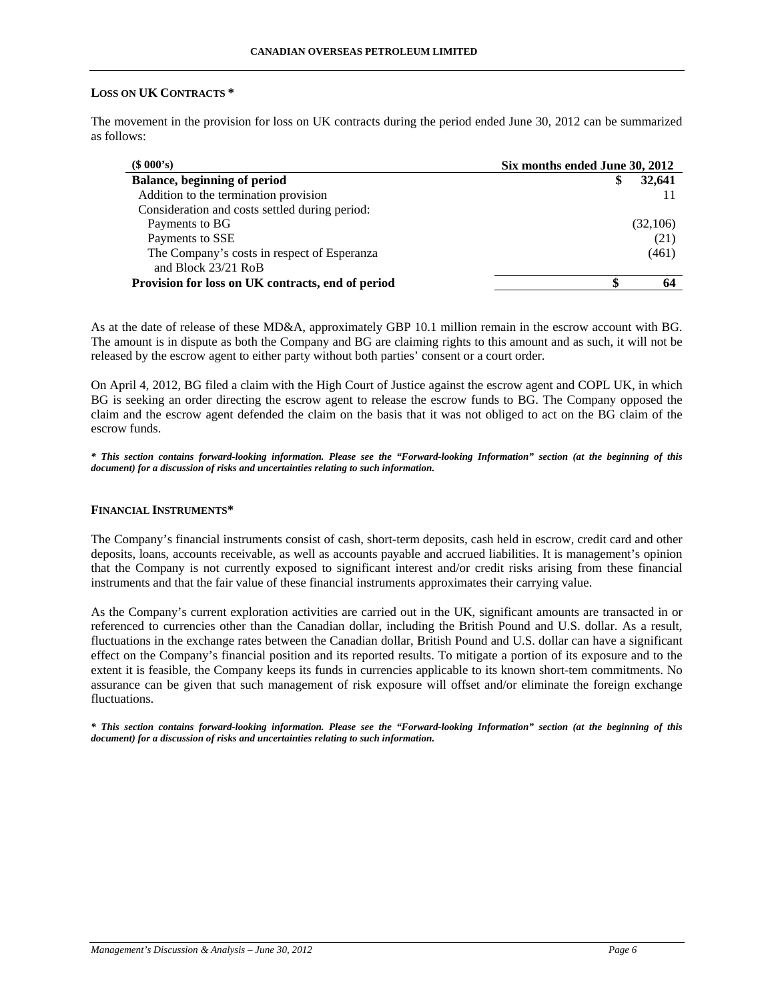# **LOSS ON UK CONTRACTS \***

The movement in the provision for loss on UK contracts during the period ended June 30, 2012 can be summarized as follows:

| (\$000's)                                         | Six months ended June 30, 2012 |  |  |
|---------------------------------------------------|--------------------------------|--|--|
| <b>Balance, beginning of period</b>               | 32,641                         |  |  |
| Addition to the termination provision             |                                |  |  |
| Consideration and costs settled during period:    |                                |  |  |
| Payments to BG                                    | (32,106)                       |  |  |
| Payments to SSE                                   | (21)                           |  |  |
| The Company's costs in respect of Esperanza       | (461)                          |  |  |
| and Block 23/21 RoB                               |                                |  |  |
| Provision for loss on UK contracts, end of period |                                |  |  |

As at the date of release of these MD&A, approximately GBP 10.1 million remain in the escrow account with BG. The amount is in dispute as both the Company and BG are claiming rights to this amount and as such, it will not be released by the escrow agent to either party without both parties' consent or a court order.

On April 4, 2012, BG filed a claim with the High Court of Justice against the escrow agent and COPL UK, in which BG is seeking an order directing the escrow agent to release the escrow funds to BG. The Company opposed the claim and the escrow agent defended the claim on the basis that it was not obliged to act on the BG claim of the escrow funds.

*\* This section contains forward-looking information. Please see the "Forward-looking Information" section (at the beginning of this document) for a discussion of risks and uncertainties relating to such information.* 

### **FINANCIAL INSTRUMENTS\***

The Company's financial instruments consist of cash, short-term deposits, cash held in escrow, credit card and other deposits, loans, accounts receivable, as well as accounts payable and accrued liabilities. It is management's opinion that the Company is not currently exposed to significant interest and/or credit risks arising from these financial instruments and that the fair value of these financial instruments approximates their carrying value.

As the Company's current exploration activities are carried out in the UK, significant amounts are transacted in or referenced to currencies other than the Canadian dollar, including the British Pound and U.S. dollar. As a result, fluctuations in the exchange rates between the Canadian dollar, British Pound and U.S. dollar can have a significant effect on the Company's financial position and its reported results. To mitigate a portion of its exposure and to the extent it is feasible, the Company keeps its funds in currencies applicable to its known short-tem commitments. No assurance can be given that such management of risk exposure will offset and/or eliminate the foreign exchange fluctuations.

*\* This section contains forward-looking information. Please see the "Forward-looking Information" section (at the beginning of this document) for a discussion of risks and uncertainties relating to such information.*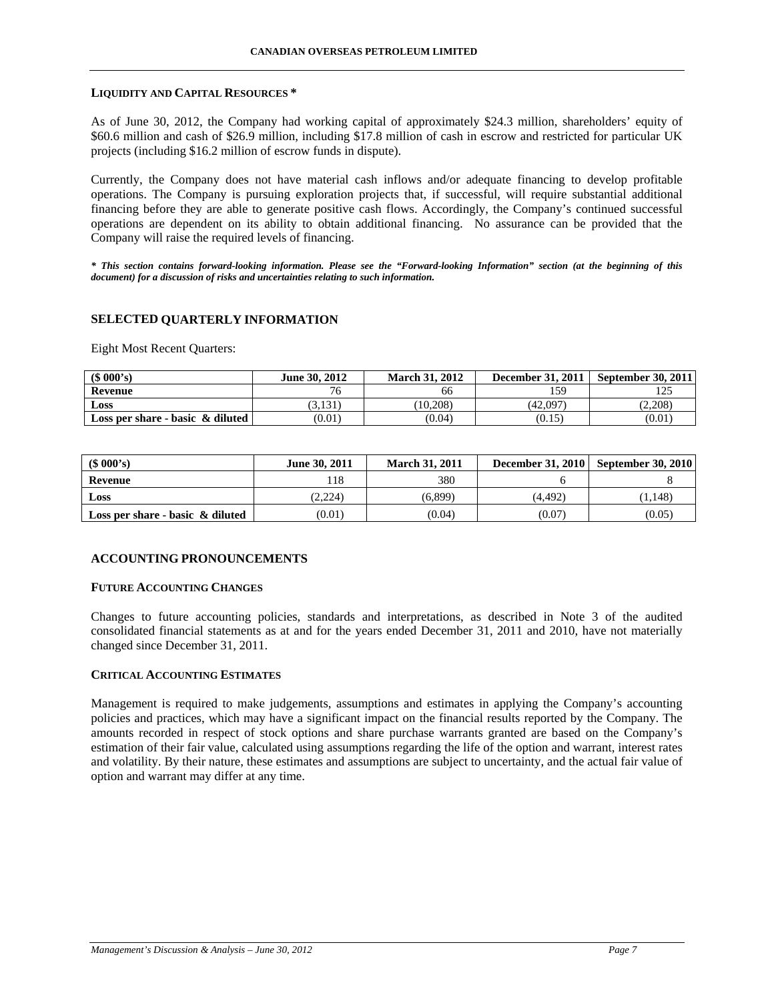#### **LIQUIDITY AND CAPITAL RESOURCES \***

As of June 30, 2012, the Company had working capital of approximately \$24.3 million, shareholders' equity of \$60.6 million and cash of \$26.9 million, including \$17.8 million of cash in escrow and restricted for particular UK projects (including \$16.2 million of escrow funds in dispute).

Currently, the Company does not have material cash inflows and/or adequate financing to develop profitable operations. The Company is pursuing exploration projects that, if successful, will require substantial additional financing before they are able to generate positive cash flows. Accordingly, the Company's continued successful operations are dependent on its ability to obtain additional financing. No assurance can be provided that the Company will raise the required levels of financing.

*\* This section contains forward-looking information. Please see the "Forward-looking Information" section (at the beginning of this document) for a discussion of risks and uncertainties relating to such information.* 

# **SELECTED QUARTERLY INFORMATION**

Eight Most Recent Quarters:

| (\$000's)                           | June 30, 2012 | <b>March 31, 2012</b> | <b>December 31, 2011</b> | September 30, 2011 |
|-------------------------------------|---------------|-----------------------|--------------------------|--------------------|
| Revenue                             | $\sim$        | 66                    | 159                      | رے 1               |
| Loss                                | 3.131         | (10.208)              | (42,097)                 | (2,208)            |
| Loss per share - basic $\&$ diluted | (0.01)        | (0.04)                | (0.15)                   | (0.01)             |

| $$000's$ )                          | <b>June 30, 2011</b> | <b>March 31, 2011</b> | <b>December 31, 2010</b> | <b>September 30, 2010</b> |
|-------------------------------------|----------------------|-----------------------|--------------------------|---------------------------|
| Revenue                             |                      | 380                   |                          |                           |
| Loss                                | (2.224)              | (6.899)               | (4.492)                  | 1.148)                    |
| Loss per share - basic $\&$ diluted | (0.01)               | (0.04)                | (0.07)                   | (0.05)                    |

### **ACCOUNTING PRONOUNCEMENTS**

### **FUTURE ACCOUNTING CHANGES**

Changes to future accounting policies, standards and interpretations, as described in Note 3 of the audited consolidated financial statements as at and for the years ended December 31, 2011 and 2010, have not materially changed since December 31, 2011.

# **CRITICAL ACCOUNTING ESTIMATES**

Management is required to make judgements, assumptions and estimates in applying the Company's accounting policies and practices, which may have a significant impact on the financial results reported by the Company. The amounts recorded in respect of stock options and share purchase warrants granted are based on the Company's estimation of their fair value, calculated using assumptions regarding the life of the option and warrant, interest rates and volatility. By their nature, these estimates and assumptions are subject to uncertainty, and the actual fair value of option and warrant may differ at any time.